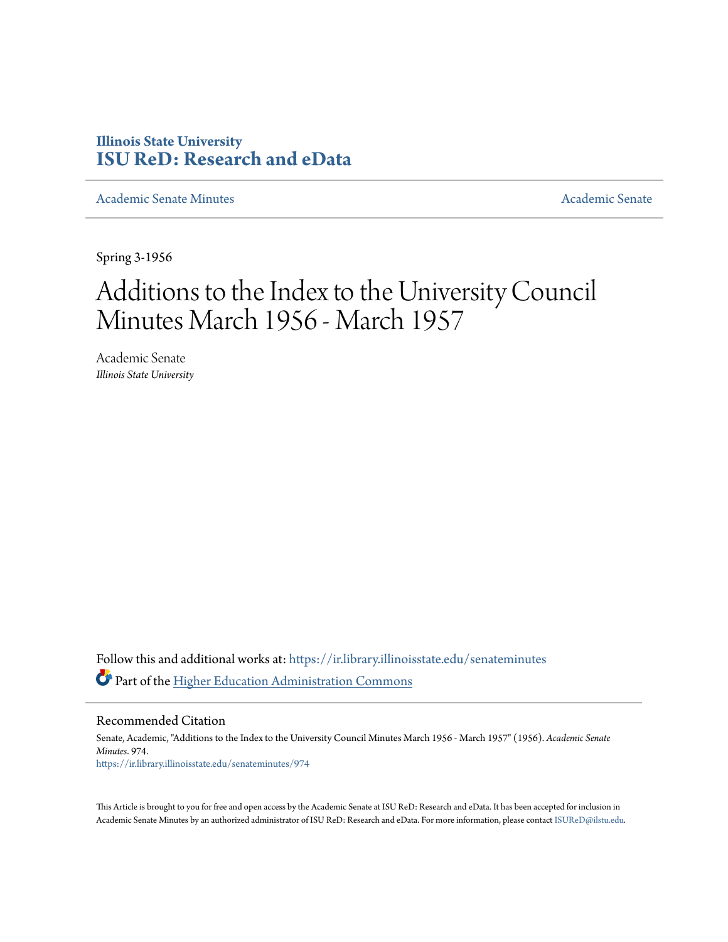## **Illinois State University [ISU ReD: Research and eData](https://ir.library.illinoisstate.edu?utm_source=ir.library.illinoisstate.edu%2Fsenateminutes%2F974&utm_medium=PDF&utm_campaign=PDFCoverPages)**

[Academic Senate Minutes](https://ir.library.illinoisstate.edu/senateminutes?utm_source=ir.library.illinoisstate.edu%2Fsenateminutes%2F974&utm_medium=PDF&utm_campaign=PDFCoverPages) [Academic Senate](https://ir.library.illinoisstate.edu/senate?utm_source=ir.library.illinoisstate.edu%2Fsenateminutes%2F974&utm_medium=PDF&utm_campaign=PDFCoverPages) Academic Senate

Spring 3-1956

## Additions to the Index to the University Council Minutes March 1956 - March 1957

Academic Senate *Illinois State University*

Follow this and additional works at: [https://ir.library.illinoisstate.edu/senateminutes](https://ir.library.illinoisstate.edu/senateminutes?utm_source=ir.library.illinoisstate.edu%2Fsenateminutes%2F974&utm_medium=PDF&utm_campaign=PDFCoverPages) Part of the [Higher Education Administration Commons](http://network.bepress.com/hgg/discipline/791?utm_source=ir.library.illinoisstate.edu%2Fsenateminutes%2F974&utm_medium=PDF&utm_campaign=PDFCoverPages)

Recommended Citation

Senate, Academic, "Additions to the Index to the University Council Minutes March 1956 - March 1957" (1956). *Academic Senate Minutes*. 974. [https://ir.library.illinoisstate.edu/senateminutes/974](https://ir.library.illinoisstate.edu/senateminutes/974?utm_source=ir.library.illinoisstate.edu%2Fsenateminutes%2F974&utm_medium=PDF&utm_campaign=PDFCoverPages)

This Article is brought to you for free and open access by the Academic Senate at ISU ReD: Research and eData. It has been accepted for inclusion in Academic Senate Minutes by an authorized administrator of ISU ReD: Research and eData. For more information, please contact [ISUReD@ilstu.edu.](mailto:ISUReD@ilstu.edu)